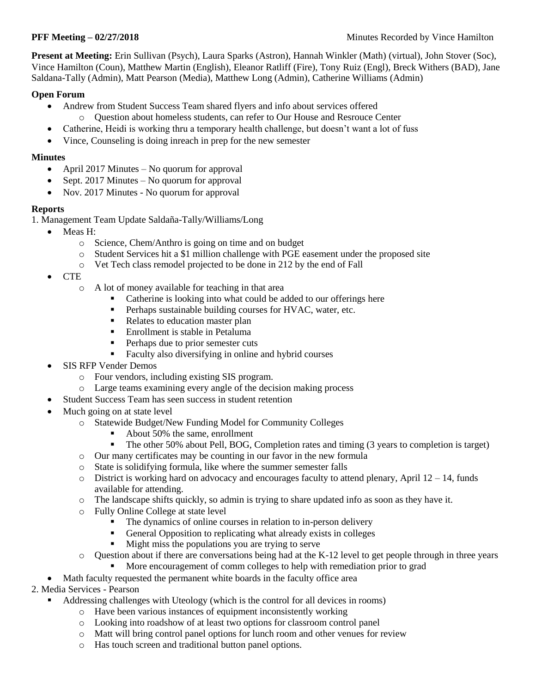**Present at Meeting:** Erin Sullivan (Psych), Laura Sparks (Astron), Hannah Winkler (Math) (virtual), John Stover (Soc), Vince Hamilton (Coun), Matthew Martin (English), Eleanor Ratliff (Fire), Tony Ruiz (Engl), Breck Withers (BAD), Jane Saldana-Tally (Admin), Matt Pearson (Media), Matthew Long (Admin), Catherine Williams (Admin)

## **Open Forum**

- Andrew from Student Success Team shared flyers and info about services offered
	- o Question about homeless students, can refer to Our House and Resrouce Center
- Catherine, Heidi is working thru a temporary health challenge, but doesn't want a lot of fuss
- Vince, Counseling is doing inreach in prep for the new semester

### **Minutes**

- April 2017 Minutes No quorum for approval
- $\bullet$  Sept. 2017 Minutes No quorum for approval
- Nov. 2017 Minutes No quorum for approval

# **Reports**

1. Management Team Update Saldaña-Tally/Williams/Long

- Meas H:
	- o Science, Chem/Anthro is going on time and on budget
	- o Student Services hit a \$1 million challenge with PGE easement under the proposed site
	- o Vet Tech class remodel projected to be done in 212 by the end of Fall
- CTE
	- o A lot of money available for teaching in that area
		- Catherine is looking into what could be added to our offerings here
		- **Perhaps sustainable building courses for HVAC, water, etc.**
		- Relates to education master plan
		- **Enrollment is stable in Petaluma**
		- Perhaps due to prior semester cuts
		- **Faculty also diversifying in online and hybrid courses**
- SIS RFP Vender Demos
	- o Four vendors, including existing SIS program.
	- o Large teams examining every angle of the decision making process
- Student Success Team has seen success in student retention
- Much going on at state level
	- o Statewide Budget/New Funding Model for Community Colleges
		- About 50% the same, enrollment
		- The other 50% about Pell, BOG, Completion rates and timing (3 years to completion is target)
	- o Our many certificates may be counting in our favor in the new formula
	- o State is solidifying formula, like where the summer semester falls
	- $\circ$  District is working hard on advocacy and encourages faculty to attend plenary, April 12 14, funds available for attending.
	- o The landscape shifts quickly, so admin is trying to share updated info as soon as they have it.
	- o Fully Online College at state level
		- The dynamics of online courses in relation to in-person delivery
		- General Opposition to replicating what already exists in colleges
		- Might miss the populations you are trying to serve
	- $\circ$  Question about if there are conversations being had at the K-12 level to get people through in three years
		- More encouragement of comm colleges to help with remediation prior to grad
- Math faculty requested the permanent white boards in the faculty office area
- 2. Media Services Pearson
	- Addressing challenges with Uteology (which is the control for all devices in rooms)
		- o Have been various instances of equipment inconsistently working
		- o Looking into roadshow of at least two options for classroom control panel
		- o Matt will bring control panel options for lunch room and other venues for review
		- o Has touch screen and traditional button panel options.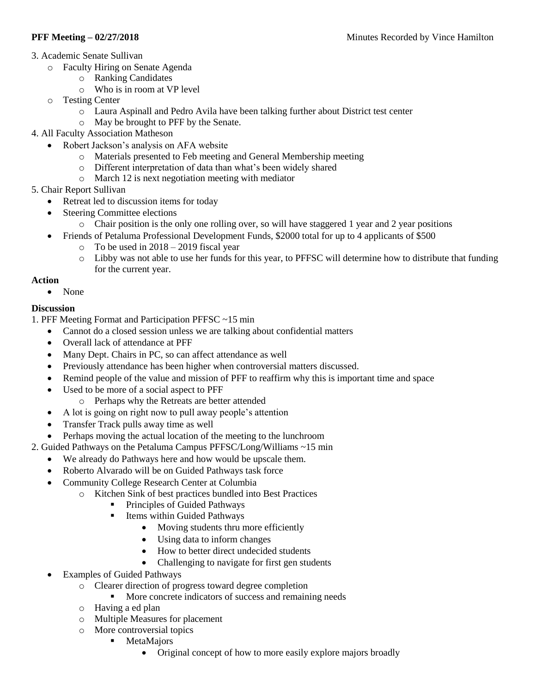- 3. Academic Senate Sullivan
	- o Faculty Hiring on Senate Agenda
		- o Ranking Candidates
		- o Who is in room at VP level
	- o Testing Center
		- o Laura Aspinall and Pedro Avila have been talking further about District test center
		- o May be brought to PFF by the Senate.
- 4. All Faculty Association Matheson
	- Robert Jackson's analysis on AFA website
		- o Materials presented to Feb meeting and General Membership meeting
		- o Different interpretation of data than what's been widely shared
		- o March 12 is next negotiation meeting with mediator
- 5. Chair Report Sullivan
	- Retreat led to discussion items for today
	- Steering Committee elections
		- o Chair position is the only one rolling over, so will have staggered 1 year and 2 year positions
	- Friends of Petaluma Professional Development Funds, \$2000 total for up to 4 applicants of \$500
		- $\circ$  To be used in 2018 2019 fiscal year
		- o Libby was not able to use her funds for this year, to PFFSC will determine how to distribute that funding for the current year.

### **Action**

• None

# **Discussion**

1. PFF Meeting Format and Participation PFFSC ~15 min

- Cannot do a closed session unless we are talking about confidential matters
- Overall lack of attendance at PFF
- Many Dept. Chairs in PC, so can affect attendance as well
- Previously attendance has been higher when controversial matters discussed.
- Remind people of the value and mission of PFF to reaffirm why this is important time and space
- Used to be more of a social aspect to PFF
	- o Perhaps why the Retreats are better attended
- A lot is going on right now to pull away people's attention
- Transfer Track pulls away time as well
- Perhaps moving the actual location of the meeting to the lunchroom
- 2. Guided Pathways on the Petaluma Campus PFFSC/Long/Williams ~15 min
	- We already do Pathways here and how would be upscale them.
	- Roberto Alvarado will be on Guided Pathways task force
	- Community College Research Center at Columbia
		- o Kitchen Sink of best practices bundled into Best Practices
			- **Principles of Guided Pathways**
			- **Items within Guided Pathways** 
				- Moving students thru more efficiently
				- Using data to inform changes
				- How to better direct undecided students
				- Challenging to navigate for first gen students
	- Examples of Guided Pathways
		- o Clearer direction of progress toward degree completion
			- **More concrete indicators of success and remaining needs**
		- o Having a ed plan
		- o Multiple Measures for placement
		- o More controversial topics
			- **MetaMajors** 
				- Original concept of how to more easily explore majors broadly